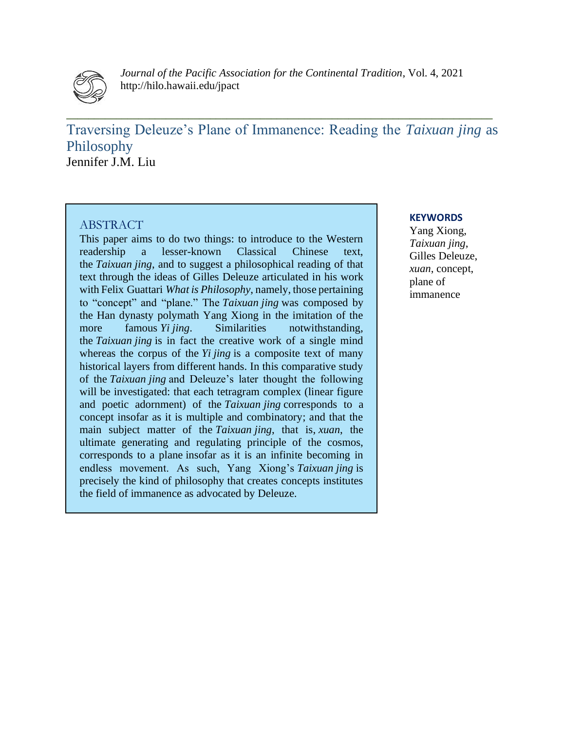

*Journal of the Pacific Association for the Continental Tradition*, Vol. 4, 2021 http://hilo.hawaii.edu/jpact

Traversing Deleuze's Plane of Immanence: Reading the *Taixuan jing* as Philosophy Jennifer J.M. Liu

**\_\_\_\_\_\_\_\_\_\_\_\_\_\_\_\_\_\_\_\_\_\_\_\_\_\_\_\_\_\_\_\_\_\_\_\_\_\_\_\_\_\_\_\_\_\_\_\_\_\_\_\_\_\_\_\_\_\_\_\_\_\_\_\_\_\_\_\_\_\_\_\_\_\_\_\_\_**

# ABSTRACT

This paper aims to do two things: to introduce to the Western readership a lesser-known Classical Chinese text, the *Taixuan jing*, and to suggest a philosophical reading of that text through the ideas of Gilles Deleuze articulated in his work with Felix Guattari *What is Philosophy*, namely, those pertaining to "concept" and "plane." The *Taixuan jing* was composed by the Han dynasty polymath Yang Xiong in the imitation of the more famous *Yi jing*. Similarities notwithstanding, the *Taixuan jing* is in fact the creative work of a single mind whereas the corpus of the *Yi jing* is a composite text of many historical layers from different hands. In this comparative study of the *Taixuan jing* and Deleuze's later thought the following will be investigated: that each tetragram complex (linear figure and poetic adornment) of the *Taixuan jing* corresponds to a concept insofar as it is multiple and combinatory; and that the main subject matter of the *Taixuan jing*, that is, *xuan*, the ultimate generating and regulating principle of the cosmos, corresponds to a plane insofar as it is an infinite becoming in endless movement. As such, Yang Xiong's *Taixuan jing* is precisely the kind of philosophy that creates concepts institutes the field of immanence as advocated by Deleuze.

### **KEYWORDS**

Yang Xiong, *Taixuan jing*, Gilles Deleuze, *xuan*, concept, plane of immanence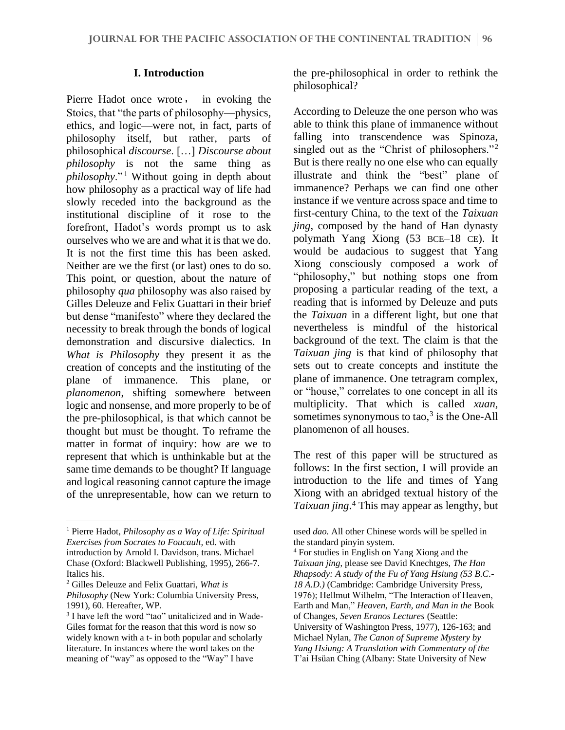### **I. Introduction**

Pierre Hadot once wrote, in evoking the Stoics, that "the parts of philosophy––physics, ethics, and logic––were not, in fact, parts of philosophy itself, but rather, parts of philosophical *discourse*. […] *Discourse about philosophy* is not the same thing as *philosophy*." <sup>1</sup> Without going in depth about how philosophy as a practical way of life had slowly receded into the background as the institutional discipline of it rose to the forefront, Hadot's words prompt us to ask ourselves who we are and what it is that we do. It is not the first time this has been asked. Neither are we the first (or last) ones to do so. This point, or question, about the nature of philosophy *qua* philosophy was also raised by Gilles Deleuze and Felix Guattari in their brief but dense "manifesto" where they declared the necessity to break through the bonds of logical demonstration and discursive dialectics. In *What is Philosophy* they present it as the creation of concepts and the instituting of the plane of immanence. This plane, or *planomenon*, shifting somewhere between logic and nonsense, and more properly to be of the pre-philosophical, is that which cannot be thought but must be thought. To reframe the matter in format of inquiry: how are we to represent that which is unthinkable but at the same time demands to be thought? If language and logical reasoning cannot capture the image of the unrepresentable, how can we return to the pre-philosophical in order to rethink the philosophical?

According to Deleuze the one person who was able to think this plane of immanence without falling into transcendence was Spinoza, singled out as the "Christ of philosophers."<sup>2</sup> But is there really no one else who can equally illustrate and think the "best" plane of immanence? Perhaps we can find one other instance if we venture across space and time to first-century China, to the text of the *Taixuan jing*, composed by the hand of Han dynasty polymath Yang Xiong (53 BCE–18 CE). It would be audacious to suggest that Yang Xiong consciously composed a work of "philosophy," but nothing stops one from proposing a particular reading of the text, a reading that is informed by Deleuze and puts the *Taixuan* in a different light, but one that nevertheless is mindful of the historical background of the text. The claim is that the *Taixuan jing* is that kind of philosophy that sets out to create concepts and institute the plane of immanence. One tetragram complex, or "house," correlates to one concept in all its multiplicity. That which is called *xuan*, sometimes synonymous to tao, $3$  is the One-All planomenon of all houses.

The rest of this paper will be structured as follows: In the first section, I will provide an introduction to the life and times of Yang Xiong with an abridged textual history of the *Taixuan jing*. <sup>4</sup> This may appear as lengthy, but

<sup>1</sup> Pierre Hadot, *Philosophy as a Way of Life: Spiritual Exercises from Socrates to Foucault,* ed. with introduction by Arnold I. Davidson, trans. Michael Chase (Oxford: Blackwell Publishing, 1995), 266-7. Italics his.

<sup>2</sup> Gilles Deleuze and Felix Guattari, *What is Philosophy* (New York: Columbia University Press, 1991), 60. Hereafter, WP.

<sup>&</sup>lt;sup>3</sup> I have left the word "tao" unitalicized and in Wade-Giles format for the reason that this word is now so widely known with a t- in both popular and scholarly literature. In instances where the word takes on the meaning of "way" as opposed to the "Way" I have

used *dao.* All other Chinese words will be spelled in the standard pinyin system.

<sup>4</sup> For studies in English on Yang Xiong and the *Taixuan jing*, please see David Knechtges, *The Han Rhapsody: A study of the Fu of Yang Hsiung (53 B.C.- 18 A.D.)* (Cambridge: Cambridge University Press, 1976); Hellmut Wilhelm, "The Interaction of Heaven, Earth and Man," *Heaven, Earth, and Man in the* Book of Changes, *Seven Eranos Lectures* (Seattle: University of Washington Press, 1977), 126-163; and Michael Nylan, *The Canon of Supreme Mystery by Yang Hsiung: A Translation with Commentary of the*  T'ai Hsüan Ching (Albany: State University of New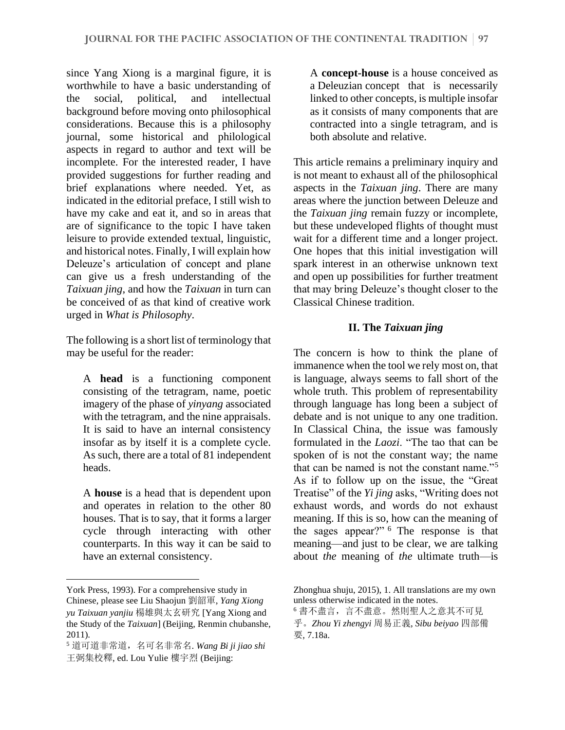since Yang Xiong is a marginal figure, it is worthwhile to have a basic understanding of the social, political, and intellectual background before moving onto philosophical considerations. Because this is a philosophy journal, some historical and philological aspects in regard to author and text will be incomplete. For the interested reader, I have provided suggestions for further reading and brief explanations where needed. Yet, as indicated in the editorial preface, I still wish to have my cake and eat it, and so in areas that are of significance to the topic I have taken leisure to provide extended textual, linguistic, and historical notes. Finally, I will explain how Deleuze's articulation of concept and plane can give us a fresh understanding of the *Taixuan jing*, and how the *Taixuan* in turn can be conceived of as that kind of creative work urged in *What is Philosophy*.

The following is a short list of terminology that may be useful for the reader:

A **head** is a functioning component consisting of the tetragram, name, poetic imagery of the phase of *yinyang* associated with the tetragram, and the nine appraisals. It is said to have an internal consistency insofar as by itself it is a complete cycle. As such, there are a total of 81 independent heads.

A **house** is a head that is dependent upon and operates in relation to the other 80 houses. That is to say, that it forms a larger cycle through interacting with other counterparts. In this way it can be said to have an external consistency.

A **concept-house** is a house conceived as a Deleuzian concept that is necessarily linked to other concepts, is multiple insofar as it consists of many components that are contracted into a single tetragram, and is both absolute and relative.

This article remains a preliminary inquiry and is not meant to exhaust all of the philosophical aspects in the *Taixuan jing*. There are many areas where the junction between Deleuze and the *Taixuan jing* remain fuzzy or incomplete, but these undeveloped flights of thought must wait for a different time and a longer project. One hopes that this initial investigation will spark interest in an otherwise unknown text and open up possibilities for further treatment that may bring Deleuze's thought closer to the Classical Chinese tradition.

# **II. The** *Taixuan jing*

The concern is how to think the plane of immanence when the tool we rely most on, that is language, always seems to fall short of the whole truth. This problem of representability through language has long been a subject of debate and is not unique to any one tradition. In Classical China, the issue was famously formulated in the *Laozi*. "The tao that can be spoken of is not the constant way; the name that can be named is not the constant name."<sup>5</sup> As if to follow up on the issue, the "Great Treatise" of the *Yi jing* asks, "Writing does not exhaust words, and words do not exhaust meaning. If this is so, how can the meaning of the sages appear?" <sup>6</sup> The response is that meaning—and just to be clear, we are talking about *the* meaning of *the* ultimate truth—is

York Press, 1993). For a comprehensive study in Chinese, please see Liu Shaojun 劉韶軍, *Yang Xiong yu Taixuan yanjiu* 楊雄與太玄研究 [Yang Xiong and the Study of the *Taixuan*] (Beijing, Renmin chubanshe, 2011).

<sup>5</sup> 道可道非常道,名可名非常名. *Wang Bi ji jiao shi* 王弼集校釋, ed. Lou Yulie 樓宇烈 (Beijing:

Zhonghua shuju, 2015), 1. All translations are my own unless otherwise indicated in the notes.

<sup>6</sup> 書不盡言,言不盡意。然則聖人之意其不可見 乎。*Zhou Yi zhengyi* 周易正義, *Sibu beiyao* 四部備

要, 7.18a.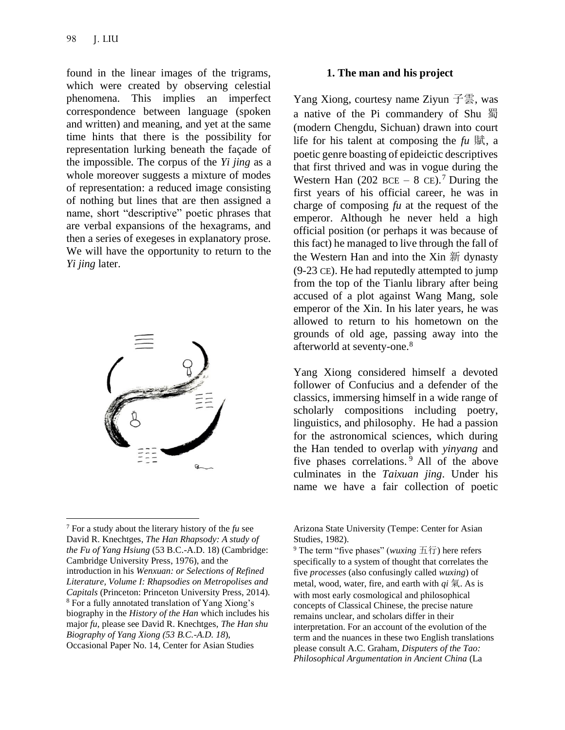found in the linear images of the trigrams, which were created by observing celestial phenomena. This implies an imperfect correspondence between language (spoken and written) and meaning, and yet at the same time hints that there is the possibility for representation lurking beneath the façade of the impossible. The corpus of the *Yi jing* as a whole moreover suggests a mixture of modes of representation: a reduced image consisting of nothing but lines that are then assigned a name, short "descriptive" poetic phrases that are verbal expansions of the hexagrams, and then a series of exegeses in explanatory prose. We will have the opportunity to return to the *Yi jing* later.



#### **1. The man and his project**

Yang Xiong, courtesy name Ziyun 子雲, was a native of the Pi commandery of Shu 蜀 (modern Chengdu, Sichuan) drawn into court life for his talent at composing the  $\mu$   $\mathbb{R}$ , a poetic genre boasting of epideictic descriptives that first thrived and was in vogue during the Western Han (202 BCE – 8 CE).<sup>7</sup> During the first years of his official career, he was in charge of composing *fu* at the request of the emperor. Although he never held a high official position (or perhaps it was because of this fact) he managed to live through the fall of the Western Han and into the Xin 新 dynasty (9-23 CE). He had reputedly attempted to jump from the top of the Tianlu library after being accused of a plot against Wang Mang, sole emperor of the Xin. In his later years, he was allowed to return to his hometown on the grounds of old age, passing away into the afterworld at seventy-one.<sup>8</sup>

Yang Xiong considered himself a devoted follower of Confucius and a defender of the classics, immersing himself in a wide range of scholarly compositions including poetry, linguistics, and philosophy. He had a passion for the astronomical sciences, which during the Han tended to overlap with *yinyang* and five phases correlations. <sup>9</sup> All of the above culminates in the *Taixuan jing*. Under his name we have a fair collection of poetic

<sup>7</sup> For a study about the literary history of the *fu* see David R. Knechtges, *The Han Rhapsody: A study of the Fu of Yang Hsiung* (53 B.C.-A.D. 18) (Cambridge: Cambridge University Press, 1976), and the introduction in his *Wenxuan: or Selections of Refined Literature, Volume I: Rhapsodies on Metropolises and Capitals* (Princeton: Princeton University Press, 2014). <sup>8</sup> For a fully annotated translation of Yang Xiong's biography in the *History of the Han* which includes his major *fu*, please see David R. Knechtges, *The Han shu Biography of Yang Xiong (53 B.C.-A.D. 18*), Occasional Paper No. 14, Center for Asian Studies

Arizona State University (Tempe: Center for Asian Studies, 1982).

<sup>9</sup> The term "five phases" (*wuxing* 五行) here refers specifically to a system of thought that correlates the five *processes* (also confusingly called *wuxing*) of metal, wood, water, fire, and earth with  $qi \nightharpoondown a$ . As is with most early cosmological and philosophical concepts of Classical Chinese, the precise nature remains unclear, and scholars differ in their interpretation. For an account of the evolution of the term and the nuances in these two English translations please consult A.C. Graham, *Disputers of the Tao: Philosophical Argumentation in Ancient China* (La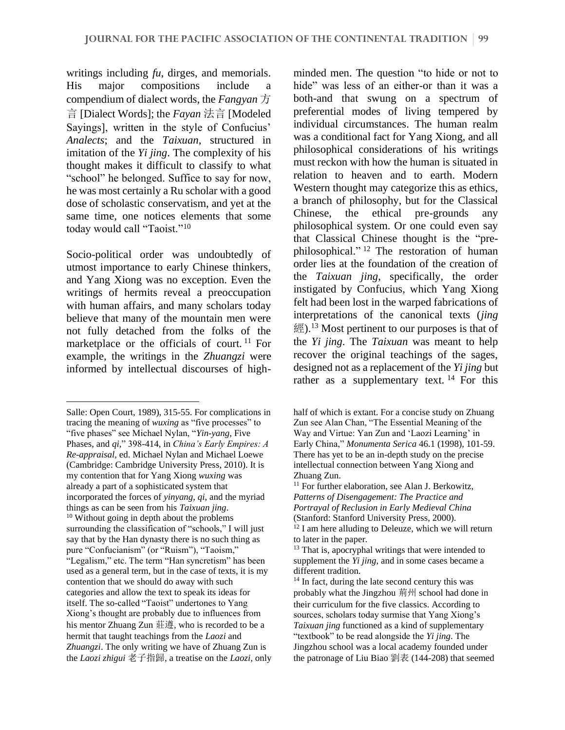writings including *fu*, dirges, and memorials. His major compositions include a compendium of dialect words, the *Fangyan* 方 言 [Dialect Words]; the *Fayan* 法言 [Modeled Sayings], written in the style of Confucius' *Analects*; and the *Taixuan*, structured in imitation of the *Yi jing*. The complexity of his thought makes it difficult to classify to what "school" he belonged. Suffice to say for now, he was most certainly a Ru scholar with a good dose of scholastic conservatism, and yet at the same time, one notices elements that some today would call "Taoist."<sup>10</sup>

Socio-political order was undoubtedly of utmost importance to early Chinese thinkers, and Yang Xiong was no exception. Even the writings of hermits reveal a preoccupation with human affairs, and many scholars today believe that many of the mountain men were not fully detached from the folks of the marketplace or the officials of court. <sup>11</sup> For example, the writings in the *Zhuangzi* were informed by intellectual discourses of high-

minded men. The question "to hide or not to hide" was less of an either-or than it was a both-and that swung on a spectrum of preferential modes of living tempered by individual circumstances. The human realm was a conditional fact for Yang Xiong, and all philosophical considerations of his writings must reckon with how the human is situated in relation to heaven and to earth. Modern Western thought may categorize this as ethics, a branch of philosophy, but for the Classical Chinese, the ethical pre-grounds any philosophical system. Or one could even say that Classical Chinese thought is the "prephilosophical." <sup>12</sup> The restoration of human order lies at the foundation of the creation of the *Taixuan jing*, specifically, the order instigated by Confucius, which Yang Xiong felt had been lost in the warped fabrications of interpretations of the canonical texts (*jing*  $\mathbb{R}^{3}$ ).<sup>13</sup> Most pertinent to our purposes is that of the *Yi jing*. The *Taixuan* was meant to help recover the original teachings of the sages, designed not as a replacement of the *Yi jing* but rather as a supplementary text.  $14$  For this

Salle: Open Court, 1989), 315-55. For complications in tracing the meaning of *wuxing* as "five processes" to "five phases" see Michael Nylan, "*Yin-yang*, Five Phases, and *qi,*" 398-414, in *China's Early Empires: A Re-appraisal*, ed. Michael Nylan and Michael Loewe (Cambridge: Cambridge University Press, 2010). It is my contention that for Yang Xiong *wuxing* was already a part of a sophisticated system that incorporated the forces of *yinyang*, *qi*, and the myriad things as can be seen from his *Taixuan jing*. <sup>10</sup> Without going in depth about the problems surrounding the classification of "schools," I will just say that by the Han dynasty there is no such thing as pure "Confucianism" (or "Ruism"), "Taoism," "Legalism," etc. The term "Han syncretism" has been used as a general term, but in the case of texts, it is my contention that we should do away with such categories and allow the text to speak its ideas for itself. The so-called "Taoist" undertones to Yang Xiong's thought are probably due to influences from his mentor Zhuang Zun 莊遵, who is recorded to be a hermit that taught teachings from the *Laozi* and *Zhuangzi*. The only writing we have of Zhuang Zun is the *Laozi zhigui* 老子指歸, a treatise on the *Laozi,* only

half of which is extant. For a concise study on Zhuang Zun see Alan Chan, "The Essential Meaning of the Way and Virtue: Yan Zun and 'Laozi Learning' in Early China," *Monumenta Serica* 46.1 (1998), 101-59. There has yet to be an in-depth study on the precise intellectual connection between Yang Xiong and Zhuang Zun.

<sup>&</sup>lt;sup>11</sup> For further elaboration, see Alan J. Berkowitz, *Patterns of Disengagement: The Practice and Portrayal of Reclusion in Early Medieval China*  (Stanford: Stanford University Press, 2000). <sup>12</sup> I am here alluding to Deleuze, which we will return

to later in the paper. <sup>13</sup> That is, apocryphal writings that were intended to supplement the *Yi jing*, and in some cases became a different tradition.

<sup>&</sup>lt;sup>14</sup> In fact, during the late second century this was probably what the Jingzhou 荊州 school had done in their curriculum for the five classics. According to sources, scholars today surmise that Yang Xiong's *Taixuan jing* functioned as a kind of supplementary "textbook" to be read alongside the *Yi jing*. The Jingzhou school was a local academy founded under the patronage of Liu Biao 劉表 (144-208) that seemed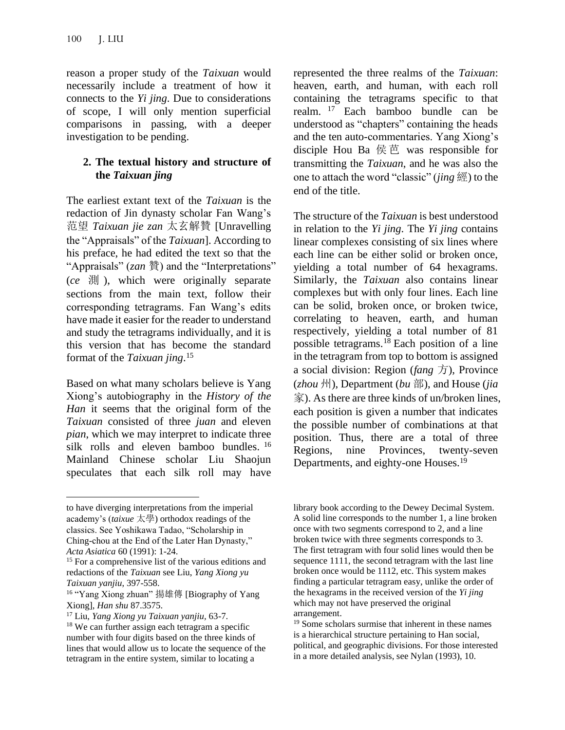reason a proper study of the *Taixuan* would necessarily include a treatment of how it connects to the *Yi jing*. Due to considerations of scope, I will only mention superficial comparisons in passing, with a deeper investigation to be pending.

## **2. The textual history and structure of the** *Taixuan jing*

The earliest extant text of the *Taixuan* is the redaction of Jin dynasty scholar Fan Wang's 范望 *Taixuan jie zan* 太玄解贊 [Unravelling the "Appraisals" of the *Taixuan*]. According to his preface, he had edited the text so that the "Appraisals" (*zan* 贊) and the "Interpretations" (*ce* 測 ), which were originally separate sections from the main text, follow their corresponding tetragrams. Fan Wang's edits have made it easier for the reader to understand and study the tetragrams individually, and it is this version that has become the standard format of the *Taixuan jing*. 15

Based on what many scholars believe is Yang Xiong's autobiography in the *History of the Han* it seems that the original form of the *Taixuan* consisted of three *juan* and eleven *pian*, which we may interpret to indicate three silk rolls and eleven bamboo bundles.<sup>16</sup> Mainland Chinese scholar Liu Shaojun speculates that each silk roll may have represented the three realms of the *Taixuan*: heaven, earth, and human, with each roll containing the tetragrams specific to that realm. <sup>17</sup> Each bamboo bundle can be understood as "chapters" containing the heads and the ten auto-commentaries. Yang Xiong's disciple Hou Ba 侯芭 was responsible for transmitting the *Taixuan*, and he was also the one to attach the word "classic" (*jing* 經) to the end of the title.

The structure of the *Taixuan* is best understood in relation to the *Yi jing*. The *Yi jing* contains linear complexes consisting of six lines where each line can be either solid or broken once, yielding a total number of 64 hexagrams. Similarly, the *Taixuan* also contains linear complexes but with only four lines. Each line can be solid, broken once, or broken twice, correlating to heaven, earth, and human respectively, yielding a total number of 81 possible tetragrams.<sup>18</sup> Each position of a line in the tetragram from top to bottom is assigned a social division: Region (*fang* 方), Province (*zhou* 州), Department (*bu* 部), and House (*jia* 家). As there are three kinds of un/broken lines, each position is given a number that indicates the possible number of combinations at that position. Thus, there are a total of three Regions, nine Provinces, twenty-seven Departments, and eighty-one Houses.<sup>19</sup>

to have diverging interpretations from the imperial academy's (*taixue* 太學) orthodox readings of the classics. See Yoshikawa Tadao, "Scholarship in Ching-chou at the End of the Later Han Dynasty," *Acta Asiatica* 60 (1991): 1-24.

<sup>&</sup>lt;sup>15</sup> For a comprehensive list of the various editions and redactions of the *Taixuan* see Liu, *Yang Xiong yu Taixuan yanjiu*, 397-558.

<sup>16</sup> "Yang Xiong zhuan" 揚雄傳 [Biography of Yang Xiong], *Han shu* 87.3575.

<sup>17</sup> Liu, *Yang Xiong yu Taixuan yanjiu,* 63-7.

<sup>&</sup>lt;sup>18</sup> We can further assign each tetragram a specific number with four digits based on the three kinds of lines that would allow us to locate the sequence of the tetragram in the entire system, similar to locating a

library book according to the Dewey Decimal System. A solid line corresponds to the number 1, a line broken once with two segments correspond to 2, and a line broken twice with three segments corresponds to 3. The first tetragram with four solid lines would then be sequence 1111, the second tetragram with the last line broken once would be 1112, etc. This system makes finding a particular tetragram easy, unlike the order of the hexagrams in the received version of the *Yi jing* which may not have preserved the original arrangement.

<sup>19</sup> Some scholars surmise that inherent in these names is a hierarchical structure pertaining to Han social, political, and geographic divisions. For those interested in a more detailed analysis, see Nylan (1993), 10.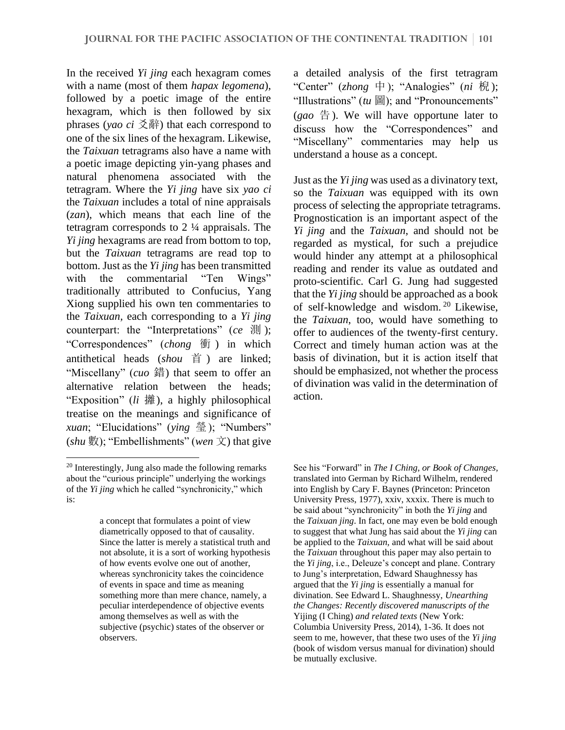In the received *Yi jing* each hexagram comes with a name (most of them *hapax legomena*), followed by a poetic image of the entire hexagram, which is then followed by six phrases (*yao ci* 爻辭) that each correspond to one of the six lines of the hexagram. Likewise, the *Taixuan* tetragrams also have a name with a poetic image depicting yin-yang phases and natural phenomena associated with the tetragram. Where the *Yi jing* have six *yao ci* the *Taixuan* includes a total of nine appraisals (*zan*), which means that each line of the tetragram corresponds to 2 ¼ appraisals. The *Yi jing* hexagrams are read from bottom to top, but the *Taixuan* tetragrams are read top to bottom. Just as the *Yi jing* has been transmitted with the commentarial "Ten Wings" traditionally attributed to Confucius, Yang Xiong supplied his own ten commentaries to the *Taixuan,* each corresponding to a *Yi jing*  counterpart: the "Interpretations" (*ce* 測 ); "Correspondences" (*chong* 衝 ) in which antithetical heads (*shou* 首 ) are linked; "Miscellany" (*cuo* 錯) that seem to offer an alternative relation between the heads; "Exposition" (*li* 攡), a highly philosophical treatise on the meanings and significance of *xuan*; "Elucidations" (*ying* 瑩); "Numbers" (*shu* 數); "Embellishments" (*wen* 文) that give

a detailed analysis of the first tetragram "Center" (*zhong* 中); "Analogies" (*ni* 棿 ); "Illustrations" (*tu* 圖); and "Pronouncements"  $(gao \oplus)$ . We will have opportune later to discuss how the "Correspondences" and "Miscellany" commentaries may help us understand a house as a concept.

Just as the *Yi jing* was used as a divinatory text, so the *Taixuan* was equipped with its own process of selecting the appropriate tetragrams. Prognostication is an important aspect of the *Yi jing* and the *Taixuan*, and should not be regarded as mystical, for such a prejudice would hinder any attempt at a philosophical reading and render its value as outdated and proto-scientific. Carl G. Jung had suggested that the *Yi jing* should be approached as a book of self-knowledge and wisdom. <sup>20</sup> Likewise, the *Taixuan*, too, would have something to offer to audiences of the twenty-first century. Correct and timely human action was at the basis of divination, but it is action itself that should be emphasized, not whether the process of divination was valid in the determination of action.

<sup>20</sup> Interestingly, Jung also made the following remarks about the "curious principle" underlying the workings of the *Yi jing* which he called "synchronicity," which is:

a concept that formulates a point of view diametrically opposed to that of causality. Since the latter is merely a statistical truth and not absolute, it is a sort of working hypothesis of how events evolve one out of another, whereas synchronicity takes the coincidence of events in space and time as meaning something more than mere chance, namely, a peculiar interdependence of objective events among themselves as well as with the subjective (psychic) states of the observer or observers.

See his "Forward" in *The I Ching, or Book of Changes,* translated into German by Richard Wilhelm, rendered into English by Cary F. Baynes (Princeton: Princeton University Press, 1977), xxiv, xxxix. There is much to be said about "synchronicity" in both the *Yi jing* and the *Taixuan jing*. In fact, one may even be bold enough to suggest that what Jung has said about the *Yi jing* can be applied to the *Taixuan,* and what will be said about the *Taixuan* throughout this paper may also pertain to the *Yi jing*, i.e., Deleuze's concept and plane. Contrary to Jung's interpretation, Edward Shaughnessy has argued that the *Yi jing* is essentially a manual for divination. See Edward L. Shaughnessy, *Unearthing the Changes: Recently discovered manuscripts of the*  Yijing (I Ching) *and related texts* (New York: Columbia University Press, 2014), 1-36. It does not seem to me, however, that these two uses of the *Yi jing* (book of wisdom versus manual for divination) should be mutually exclusive.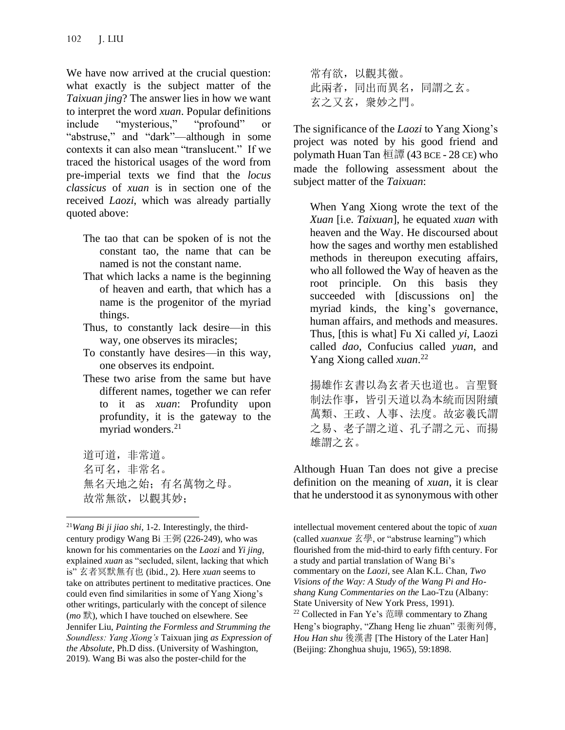We have now arrived at the crucial question: what exactly is the subject matter of the *Taixuan jing*? The answer lies in how we want to interpret the word *xuan*. Popular definitions include "mysterious," "profound" or "abstruse," and "dark"—although in some contexts it can also mean "translucent." If we traced the historical usages of the word from pre-imperial texts we find that the *locus classicus* of *xuan* is in section one of the received *Laozi*, which was already partially quoted above:

- The tao that can be spoken of is not the constant tao, the name that can be named is not the constant name.
- That which lacks a name is the beginning of heaven and earth, that which has a name is the progenitor of the myriad things.
- Thus, to constantly lack desire—in this way, one observes its miracles;
- To constantly have desires—in this way, one observes its endpoint.
- These two arise from the same but have different names, together we can refer to it as *xuan*: Profundity upon profundity, it is the gateway to the myriad wonders.<sup>21</sup>

道可道,非常道。 名可名,非常名。 無名天地之始;有名萬物之母。 故常無欲,以觀其妙;

常有欲,以觀其徼。 此兩者,同出而異名,同謂之玄。 玄之又玄, 衆妙之門。

The significance of the *Laozi* to Yang Xiong's project was noted by his good friend and polymath Huan Tan 桓譚 (43 BCE - 28 CE) who made the following assessment about the subject matter of the *Taixuan*:

When Yang Xiong wrote the text of the *Xuan* [i.e. *Taixuan*], he equated *xuan* with heaven and the Way. He discoursed about how the sages and worthy men established methods in thereupon executing affairs, who all followed the Way of heaven as the root principle. On this basis they succeeded with [discussions on] the myriad kinds, the king's governance, human affairs, and methods and measures. Thus, [this is what] Fu Xi called *yi*, Laozi called *dao*, Confucius called *yuan*, and Yang Xiong called *xuan*. 22

揚雄作玄書以為玄者天也道也。言聖賢 制法作事,皆引天道以為本統而因附續 萬類、王政、人事、法度。故宓羲氏謂 之易、老子謂之道、孔子謂之元、而揚 雄謂之玄。

Although Huan Tan does not give a precise definition on the meaning of *xuan*, it is clear that he understood it as synonymous with other

intellectual movement centered about the topic of *xuan*  (called *xuanxue* 玄學, or "abstruse learning") which flourished from the mid-third to early fifth century. For a study and partial translation of Wang Bi's commentary on the *Laozi*, see Alan K.L. Chan, *Two Visions of the Way: A Study of the Wang Pi and Hoshang Kung Commentaries on the* Lao-Tzu (Albany: State University of New York Press, 1991). <sup>22</sup> Collected in Fan Ye's 范曄 commentary to Zhang Heng's biography, "Zhang Heng lie zhuan" 張衡列傳, *Hou Han shu* 後漢書 [The History of the Later Han] (Beijing: Zhonghua shuju, 1965), 59:1898.

<sup>21</sup>*Wang Bi ji jiao shi,* 1-2. Interestingly, the thirdcentury prodigy Wang Bi  $\pm \frac{m}{26}$  (226-249), who was known for his commentaries on the *Laozi* and *Yi jing*, explained *xuan* as "secluded, silent, lacking that which is" 玄者冥默無有也 (ibid., 2). Here *xuan* seems to take on attributes pertinent to meditative practices. One could even find similarities in some of Yang Xiong's other writings, particularly with the concept of silence (*mo* 默), which I have touched on elsewhere. See Jennifer Liu, *Painting the Formless and Strumming the Soundless: Yang Xiong's* Taixuan jing *as Expression of the Absolute*, Ph.D diss. (University of Washington, 2019). Wang Bi was also the poster-child for the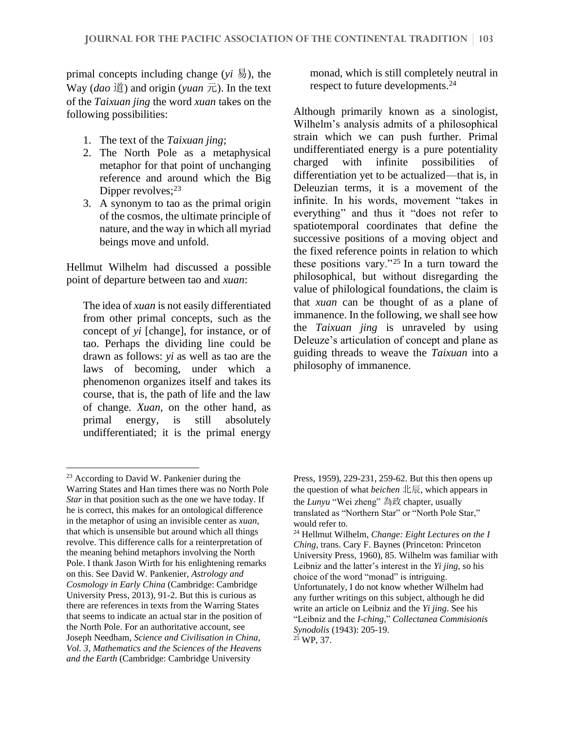primal concepts including change  $(v_i, \overline{B})$ , the Way (*dao* 道) and origin (*yuan* 元). In the text of the *Taixuan jing* the word *xuan* takes on the following possibilities:

- 1. The text of the *Taixuan jing*;
- 2. The North Pole as a metaphysical metaphor for that point of unchanging reference and around which the Big Dipper revolves; $^{23}$
- 3. A synonym to tao as the primal origin of the cosmos, the ultimate principle of nature, and the way in which all myriad beings move and unfold.

Hellmut Wilhelm had discussed a possible point of departure between tao and *xuan*:

The idea of *xuan* is not easily differentiated from other primal concepts, such as the concept of *yi* [change], for instance, or of tao. Perhaps the dividing line could be drawn as follows: *yi* as well as tao are the laws of becoming, under which a phenomenon organizes itself and takes its course, that is, the path of life and the law of change. *Xuan*, on the other hand, as primal energy, is still absolutely undifferentiated; it is the primal energy

monad, which is still completely neutral in respect to future developments.<sup>24</sup>

Although primarily known as a sinologist, Wilhelm's analysis admits of a philosophical strain which we can push further. Primal undifferentiated energy is a pure potentiality charged with infinite possibilities of differentiation yet to be actualized—that is, in Deleuzian terms, it is a movement of the infinite. In his words, movement "takes in everything" and thus it "does not refer to spatiotemporal coordinates that define the successive positions of a moving object and the fixed reference points in relation to which these positions vary."<sup>25</sup> In a turn toward the philosophical, but without disregarding the value of philological foundations, the claim is that *xuan* can be thought of as a plane of immanence. In the following, we shall see how the *Taixuan jing* is unraveled by using Deleuze's articulation of concept and plane as guiding threads to weave the *Taixuan* into a philosophy of immanence.

<sup>23</sup> According to David W. Pankenier during the Warring States and Han times there was no North Pole *Star* in that position such as the one we have today. If he is correct, this makes for an ontological difference in the metaphor of using an invisible center as *xuan*, that which is unsensible but around which all things revolve. This difference calls for a reinterpretation of the meaning behind metaphors involving the North Pole. I thank Jason Wirth for his enlightening remarks on this. See David W. Pankenier, *Astrology and Cosmology in Early China* (Cambridge: Cambridge University Press, 2013), 91-2. But this is curious as there are references in texts from the Warring States that seems to indicate an actual star in the position of the North Pole. For an authoritative account, see Joseph Needham, *Science and Civilisation in China, Vol. 3, Mathematics and the Sciences of the Heavens and the Earth* (Cambridge: Cambridge University

Press, 1959), 229-231, 259-62. But this then opens up the question of what *beichen* 北辰, which appears in the *Lunyu* "Wei zheng" 為政 chapter, usually translated as "Northern Star" or "North Pole Star," would refer to.

<sup>24</sup> Hellmut Wilhelm, *Change: Eight Lectures on the I Ching*, trans. Cary F. Baynes (Princeton: Princeton University Press, 1960), 85. Wilhelm was familiar with Leibniz and the latter's interest in the *Yi jing*, so his choice of the word "monad" is intriguing. Unfortunately, I do not know whether Wilhelm had any further writings on this subject, although he did write an article on Leibniz and the *Yi jing*. See his "Leibniz and the *I-ching*," *Collectanea Commisionis Synodolis* (1943): 205-19.  $25$  WP, 37.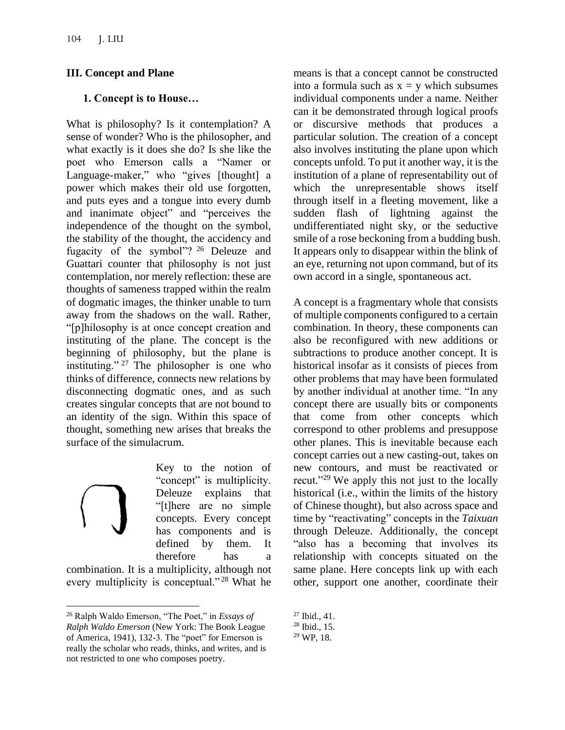### **III. Concept and Plane**

### **1. Concept is to House…**

What is philosophy? Is it contemplation? A sense of wonder? Who is the philosopher, and what exactly is it does she do? Is she like the poet who Emerson calls a "Namer or Language-maker," who "gives [thought] a power which makes their old use forgotten, and puts eyes and a tongue into every dumb and inanimate object" and "perceives the independence of the thought on the symbol, the stability of the thought, the accidency and fugacity of the symbol"? <sup>26</sup> Deleuze and Guattari counter that philosophy is not just contemplation, nor merely reflection: these are thoughts of sameness trapped within the realm of dogmatic images, the thinker unable to turn away from the shadows on the wall. Rather, "[p]hilosophy is at once concept creation and instituting of the plane. The concept is the beginning of philosophy, but the plane is instituting." <sup>27</sup> The philosopher is one who thinks of difference, connects new relations by disconnecting dogmatic ones, and as such creates singular concepts that are not bound to an identity of the sign. Within this space of thought, something new arises that breaks the surface of the simulacrum.

Key to the notion of "concept" is multiplicity. Deleuze explains that "[t]here are no simple concepts. Every concept has components and is defined by them. It therefore has a

combination. It is a multiplicity, although not every multiplicity is conceptual."<sup>28</sup> What he means is that a concept cannot be constructed into a formula such as  $x = y$  which subsumes individual components under a name. Neither can it be demonstrated through logical proofs or discursive methods that produces a particular solution. The creation of a concept also involves instituting the plane upon which concepts unfold. To put it another way, it is the institution of a plane of representability out of which the unrepresentable shows itself through itself in a fleeting movement, like a sudden flash of lightning against the undifferentiated night sky, or the seductive smile of a rose beckoning from a budding bush. It appears only to disappear within the blink of an eye, returning not upon command, but of its own accord in a single, spontaneous act.

A concept is a fragmentary whole that consists of multiple components configured to a certain combination. In theory, these components can also be reconfigured with new additions or subtractions to produce another concept. It is historical insofar as it consists of pieces from other problems that may have been formulated by another individual at another time. "In any concept there are usually bits or components that come from other concepts which correspond to other problems and presuppose other planes. This is inevitable because each concept carries out a new casting-out, takes on new contours, and must be reactivated or recut."<sup>29</sup> We apply this not just to the locally historical (i.e., within the limits of the history of Chinese thought), but also across space and time by "reactivating" concepts in the *Taixuan* through Deleuze. Additionally, the concept "also has a becoming that involves its relationship with concepts situated on the same plane. Here concepts link up with each other, support one another, coordinate their

<sup>26</sup> Ralph Waldo Emerson, "The Poet," in *Essays of Ralph Waldo Emerson* (New York: The Book League of America, 1941), 132-3. The "poet" for Emerson is really the scholar who reads, thinks, and writes, and is not restricted to one who composes poetry.

<sup>27</sup> Ibid., 41.

<sup>28</sup> Ibid., 15.

<sup>29</sup> WP, 18.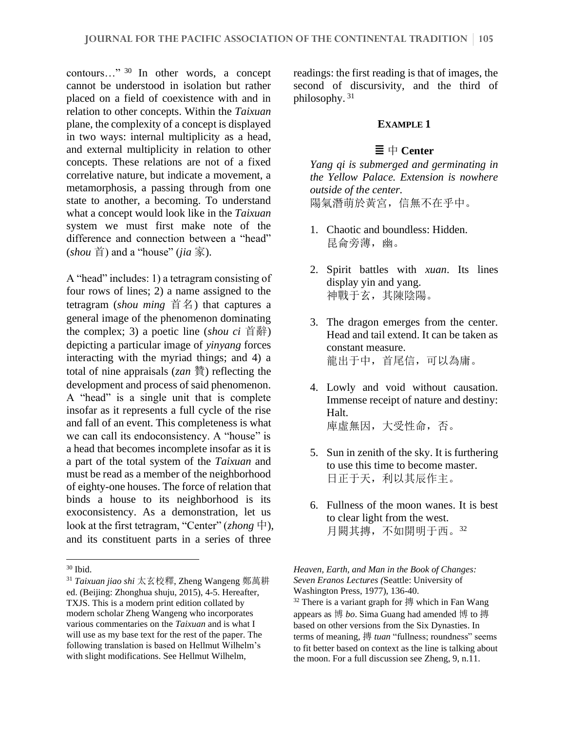contours…" <sup>30</sup> In other words, a concept cannot be understood in isolation but rather placed on a field of coexistence with and in relation to other concepts. Within the *Taixuan*  plane, the complexity of a concept is displayed in two ways: internal multiplicity as a head, and external multiplicity in relation to other concepts. These relations are not of a fixed correlative nature, but indicate a movement, a metamorphosis, a passing through from one state to another, a becoming. To understand what a concept would look like in the *Taixuan* system we must first make note of the difference and connection between a "head"  $(shou$  首) and a "house" *(jia* 家).

A "head" includes: 1) a tetragram consisting of four rows of lines; 2) a name assigned to the tetragram (*shou ming* 首名) that captures a general image of the phenomenon dominating the complex; 3) a poetic line (*shou ci* 首辭) depicting a particular image of *yinyang* forces interacting with the myriad things; and 4) a total of nine appraisals (*zan* 贊) reflecting the development and process of said phenomenon. A "head" is a single unit that is complete insofar as it represents a full cycle of the rise and fall of an event. This completeness is what we can call its endoconsistency. A "house" is a head that becomes incomplete insofar as it is a part of the total system of the *Taixuan* and must be read as a member of the neighborhood of eighty-one houses. The force of relation that binds a house to its neighborhood is its exoconsistency. As a demonstration, let us look at the first tetragram, "Center" (*zhong* 中), and its constituent parts in a series of three

readings: the first reading is that of images, the second of discursivity, and the third of philosophy. <sup>31</sup>

### **EXAMPLE 1**

### $\equiv$   $\qquad$  **Center**

*Yang qi is submerged and germinating in the Yellow Palace. Extension is nowhere outside of the center.* 陽氣潛萌於黃宮,信無不在乎中。

- 1. Chaotic and boundless: Hidden. 昆侖旁薄,幽。
- 2. Spirit battles with *xuan*. Its lines display yin and yang. 神戰于玄,其陳陰陽。
- 3. The dragon emerges from the center. Head and tail extend. It can be taken as constant measure. 龍出于中,首尾信,可以為庸。
- 4. Lowly and void without causation. Immense receipt of nature and destiny: Halt. 庫虛無因,大受性命,否。
- 5. Sun in zenith of the sky. It is furthering to use this time to become master. 日正于天,利以其辰作主。
- 6. Fullness of the moon wanes. It is best to clear light from the west. 月闕其摶,不如開明于西。<sup>32</sup>

<sup>30</sup> Ibid.

<sup>31</sup> *Taixuan jiao shi* 太玄校釋, Zheng Wangeng 鄭萬耕 ed. (Beijing: Zhonghua shuju, 2015), 4-5. Hereafter, TXJS. This is a modern print edition collated by modern scholar Zheng Wangeng who incorporates various commentaries on the *Taixuan* and is what I will use as my base text for the rest of the paper. The following translation is based on Hellmut Wilhelm's with slight modifications. See Hellmut Wilhelm,

*Heaven, Earth, and Man in the Book of Changes: Seven Eranos Lectures (*Seattle: University of Washington Press, 1977), 136-40.  $32$  There is a variant graph for 摶 which in Fan Wang appears as 博 *bo*. Sima Guang had amended 博 to 摶 based on other versions from the Six Dynasties. In terms of meaning, 摶 *tuan* "fullness; roundness" seems to fit better based on context as the line is talking about the moon. For a full discussion see Zheng, 9, n.11.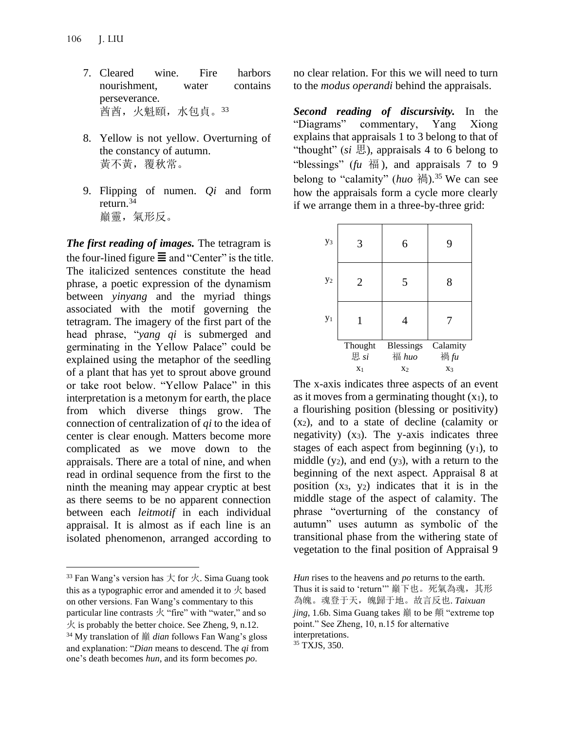- 7. Cleared wine. Fire harbors nourishment, water contains perseverance. 酋酋,火魁頤,水包貞。<sup>33</sup>
- 8. Yellow is not yellow. Overturning of the constancy of autumn. 黃不黃,覆秋常。
- 9. Flipping of numen. *Qi* and form return.<sup>34</sup> 巔靈,氣形反。

*The first reading of images.* The tetragram is the four-lined figure  $\equiv$  and "Center" is the title. The italicized sentences constitute the head phrase, a poetic expression of the dynamism between *yinyang* and the myriad things associated with the motif governing the tetragram. The imagery of the first part of the head phrase, "*yang qi* is submerged and germinating in the Yellow Palace" could be explained using the metaphor of the seedling of a plant that has yet to sprout above ground or take root below. "Yellow Palace" in this interpretation is a metonym for earth, the place from which diverse things grow. The connection of centralization of *qi* to the idea of center is clear enough. Matters become more complicated as we move down to the appraisals. There are a total of nine, and when read in ordinal sequence from the first to the ninth the meaning may appear cryptic at best as there seems to be no apparent connection between each *leitmotif* in each individual appraisal. It is almost as if each line is an isolated phenomenon, arranged according to

no clear relation. For this we will need to turn to the *modus operandi* behind the appraisals.

*Second reading of discursivity.* In the "Diagrams" commentary, Yang Xiong explains that appraisals 1 to 3 belong to that of "thought" (*si* 思), appraisals 4 to 6 belong to "blessings" ( $\hbar u$   $\overline{4}$ ), and appraisals 7 to 9 belong to "calamity" ( $huo$  禍).<sup>35</sup> We can see how the appraisals form a cycle more clearly if we arrange them in a three-by-three grid:

| y <sub>3</sub> | 3              | 6              | 9        |
|----------------|----------------|----------------|----------|
| $y_2$          | 2              | 5              | 8        |
| $y_1$          |                | 4              |          |
|                | Thought        | Blessings      | Calamity |
|                | 思 si           | 福 huo          | 禍fu      |
|                | X <sub>1</sub> | X <sub>2</sub> | X3       |

The x-axis indicates three aspects of an event as it moves from a germinating thought  $(x_1)$ , to a flourishing position (blessing or positivity) (x2), and to a state of decline (calamity or negativity)  $(x_3)$ . The y-axis indicates three stages of each aspect from beginning  $(y_1)$ , to middle  $(y_2)$ , and end  $(y_3)$ , with a return to the beginning of the next aspect. Appraisal 8 at position  $(x_3, y_2)$  indicates that it is in the middle stage of the aspect of calamity. The phrase "overturning of the constancy of autumn" uses autumn as symbolic of the transitional phase from the withering state of vegetation to the final position of Appraisal 9

<sup>&</sup>lt;sup>33</sup> Fan Wang's version has  $\pm$  for  $\overline{\mathcal{K}}$ . Sima Guang took this as a typographic error and amended it to  $\overline{\mathcal{K}}$  based on other versions. Fan Wang's commentary to this particular line contrasts 火 "fire" with "water," and so  $\overline{\mathcal{K}}$  is probably the better choice. See Zheng, 9, n.12.

<sup>34</sup> My translation of 巔 *dian* follows Fan Wang's gloss and explanation: "*Dian* means to descend. The *qi* from one's death becomes *hun*, and its form becomes *po*.

*Hun* rises to the heavens and *po* returns to the earth. Thus it is said to 'return'" 巔下也。死氣為魂,其形 為魄。魂登于天,魄歸于地。故言反也. *Taixuan jing*, 1.6b. Sima Guang takes 巔 to be 顛 "extreme top point." See Zheng, 10, n.15 for alternative interpretations.

<sup>35</sup> TXJS, 350.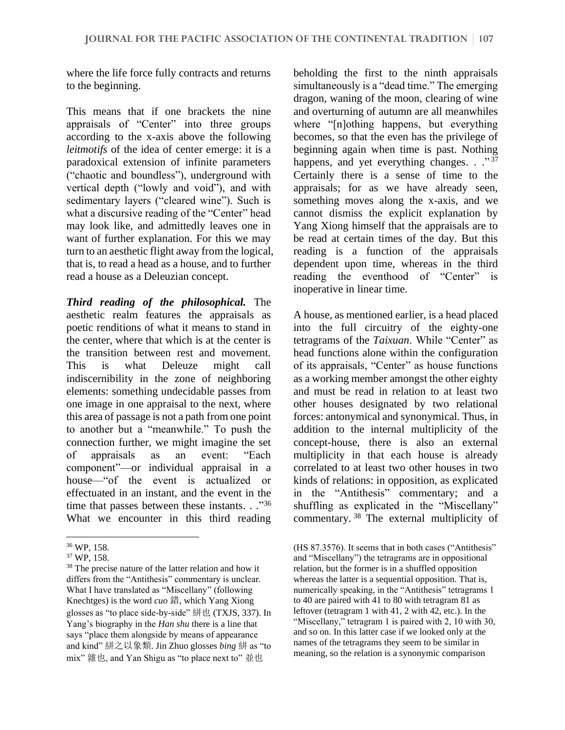where the life force fully contracts and returns to the beginning.

This means that if one brackets the nine appraisals of "Center" into three groups according to the x-axis above the following *leitmotifs* of the idea of center emerge: it is a paradoxical extension of infinite parameters ("chaotic and boundless"), underground with vertical depth ("lowly and void"), and with sedimentary layers ("cleared wine"). Such is what a discursive reading of the "Center" head may look like, and admittedly leaves one in want of further explanation. For this we may turn to an aesthetic flight away from the logical, that is, to read a head as a house, and to further read a house as a Deleuzian concept.

*Third reading of the philosophical.* The aesthetic realm features the appraisals as poetic renditions of what it means to stand in the center, where that which is at the center is the transition between rest and movement. This is what Deleuze might call indiscernibility in the zone of neighboring elements: something undecidable passes from one image in one appraisal to the next, where this area of passage is not a path from one point to another but a "meanwhile." To push the connection further, we might imagine the set of appraisals as an event: "Each component"—or individual appraisal in a house—"of the event is actualized or effectuated in an instant, and the event in the time that passes between these instants. . ."36 What we encounter in this third reading

beholding the first to the ninth appraisals simultaneously is a "dead time." The emerging dragon, waning of the moon, clearing of wine and overturning of autumn are all meanwhiles where "[n]othing happens, but everything becomes, so that the even has the privilege of beginning again when time is past. Nothing happens, and yet everything changes. . ."37 Certainly there is a sense of time to the appraisals; for as we have already seen, something moves along the x-axis, and we cannot dismiss the explicit explanation by Yang Xiong himself that the appraisals are to be read at certain times of the day. But this reading is a function of the appraisals dependent upon time, whereas in the third reading the eventhood of "Center" is inoperative in linear time.

A house, as mentioned earlier, is a head placed into the full circuitry of the eighty-one tetragrams of the *Taixuan*. While "Center" as head functions alone within the configuration of its appraisals, "Center" as house functions as a working member amongst the other eighty and must be read in relation to at least two other houses designated by two relational forces: antonymical and synonymical. Thus, in addition to the internal multiplicity of the concept-house, there is also an external multiplicity in that each house is already correlated to at least two other houses in two kinds of relations: in opposition, as explicated in the "Antithesis" commentary; and a shuffling as explicated in the "Miscellany" commentary. <sup>38</sup> The external multiplicity of

<sup>36</sup> WP, 158.

<sup>37</sup> WP, 158.

<sup>38</sup> The precise nature of the latter relation and how it differs from the "Antithesis" commentary is unclear. What I have translated as "Miscellany" (following Knechtges) is the word *cuo* 錯, which Yang Xiong glosses as "to place side-by-side" 絣也 (TXJS, 337). In Yang's biography in the *Han shu* there is a line that says "place them alongside by means of appearance and kind" 絣之以象類. Jin Zhuo glosses *bing* 絣 as "to mix" 雜也, and Yan Shigu as "to place next to" 並也

<sup>(</sup>HS 87.3576). It seems that in both cases ("Antithesis" and "Miscellany") the tetragrams are in oppositional relation, but the former is in a shuffled opposition whereas the latter is a sequential opposition. That is, numerically speaking, in the "Antithesis" tetragrams 1 to 40 are paired with 41 to 80 with tetragram 81 as leftover (tetragram 1 with 41, 2 with 42, etc.). In the "Miscellany," tetragram 1 is paired with 2, 10 with 30, and so on. In this latter case if we looked only at the names of the tetragrams they seem to be similar in meaning, so the relation is a synonymic comparison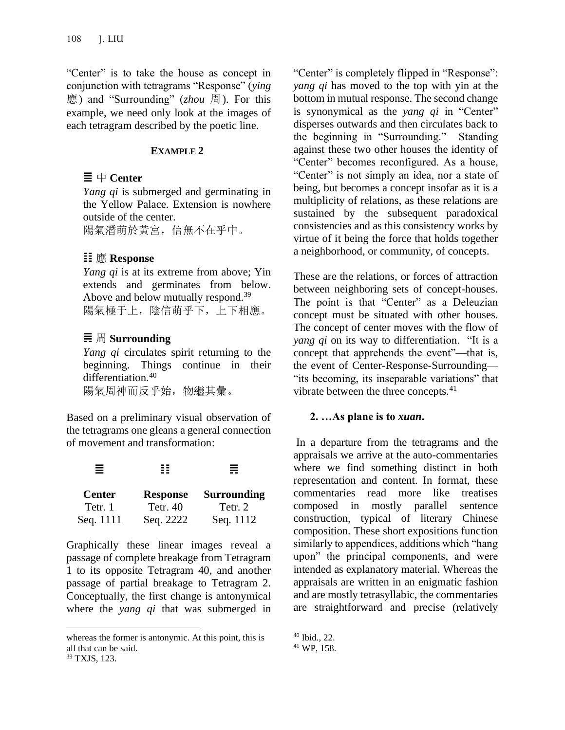"Center" is to take the house as concept in conjunction with tetragrams "Response" (*ying* 應) and "Surrounding" (*zhou* 周). For this example, we need only look at the images of each tetragram described by the poetic line.

### **EXAMPLE 2**

## $\equiv$   $\uparrow$  Center

*Yang qi* is submerged and germinating in the Yellow Palace. Extension is nowhere outside of the center.

陽氣潛萌於黃宮,信無不在乎中。

## 應 **Response**

*Yang qi* is at its extreme from above; Yin extends and germinates from below. Above and below mutually respond.<sup>39</sup> 陽氣極于上,陰信萌乎下,上下相應。

# 周 **Surrounding**

*Yang qi* circulates spirit returning to the beginning. Things continue in their differentiation.<sup>40</sup> 陽氣周神而反乎始,物繼其彙。

Based on a preliminary visual observation of the tetragrams one gleans a general connection of movement and transformation:

| Ξ             |                 | ≣                  |
|---------------|-----------------|--------------------|
| <b>Center</b> | <b>Response</b> | <b>Surrounding</b> |
| Tetr. 1       | <b>Tetr.</b> 40 | Tetr. 2            |
| Seq. 1111     | Seq. 2222       | Seq. 1112          |

Graphically these linear images reveal a passage of complete breakage from Tetragram 1 to its opposite Tetragram 40, and another passage of partial breakage to Tetragram 2. Conceptually, the first change is antonymical where the *yang qi* that was submerged in "Center" is completely flipped in "Response": *yang qi* has moved to the top with yin at the bottom in mutual response. The second change is synonymical as the *yang qi* in "Center" disperses outwards and then circulates back to the beginning in "Surrounding." Standing against these two other houses the identity of "Center" becomes reconfigured. As a house, "Center" is not simply an idea, nor a state of being, but becomes a concept insofar as it is a multiplicity of relations, as these relations are sustained by the subsequent paradoxical consistencies and as this consistency works by virtue of it being the force that holds together a neighborhood, or community, of concepts.

These are the relations, or forces of attraction between neighboring sets of concept-houses. The point is that "Center" as a Deleuzian concept must be situated with other houses. The concept of center moves with the flow of *yang qi* on its way to differentiation. "It is a concept that apprehends the event"––that is, the event of Center-Response-Surrounding–– "its becoming, its inseparable variations" that vibrate between the three concepts.<sup>41</sup>

### **2. …As plane is to** *xuan***.**

In a departure from the tetragrams and the appraisals we arrive at the auto-commentaries where we find something distinct in both representation and content. In format, these commentaries read more like treatises composed in mostly parallel sentence construction, typical of literary Chinese composition. These short expositions function similarly to appendices, additions which "hang upon" the principal components, and were intended as explanatory material. Whereas the appraisals are written in an enigmatic fashion and are mostly tetrasyllabic, the commentaries are straightforward and precise (relatively

whereas the former is antonymic. At this point, this is all that can be said. <sup>39</sup> TXJS, 123.

<sup>40</sup> Ibid., 22.

<sup>41</sup> WP, 158.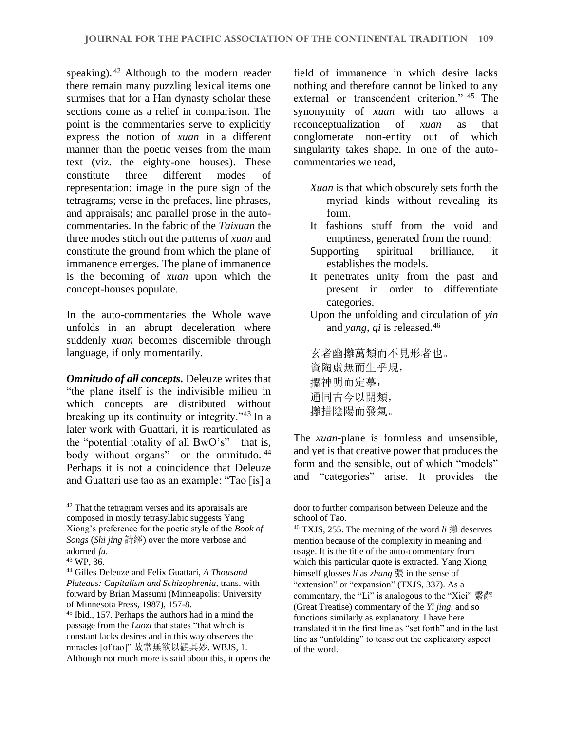speaking). <sup>42</sup> Although to the modern reader there remain many puzzling lexical items one surmises that for a Han dynasty scholar these sections come as a relief in comparison. The point is the commentaries serve to explicitly express the notion of *xuan* in a different manner than the poetic verses from the main text (viz. the eighty-one houses). These constitute three different modes of representation: image in the pure sign of the tetragrams; verse in the prefaces, line phrases, and appraisals; and parallel prose in the autocommentaries. In the fabric of the *Taixuan* the three modes stitch out the patterns of *xuan* and constitute the ground from which the plane of immanence emerges. The plane of immanence is the becoming of *xuan* upon which the concept-houses populate.

In the auto-commentaries the Whole wave unfolds in an abrupt deceleration where suddenly *xuan* becomes discernible through language, if only momentarily.

*Omnitudo of all concepts.* Deleuze writes that "the plane itself is the indivisible milieu in which concepts are distributed without breaking up its continuity or integrity."<sup>43</sup> In a later work with Guattari, it is rearticulated as the "potential totality of all BwO's"––that is, body without organs"—or the omnitudo.<sup>44</sup> Perhaps it is not a coincidence that Deleuze and Guattari use tao as an example: "Tao [is] a field of immanence in which desire lacks nothing and therefore cannot be linked to any external or transcendent criterion." <sup>45</sup> The synonymity of *xuan* with tao allows a reconceptualization of *xuan* as that conglomerate non-entity out of which singularity takes shape. In one of the autocommentaries we read,

- *Xuan* is that which obscurely sets forth the myriad kinds without revealing its form.
- It fashions stuff from the void and emptiness, generated from the round;
- Supporting spiritual brilliance, it establishes the models.
- It penetrates unity from the past and present in order to differentiate categories.
- Upon the unfolding and circulation of *yin* and *yang*, *qi* is released.<sup>46</sup>

玄者幽攡萬類而不見形者也。 資陶虛無而生乎規, 神明而定摹, 通同古今以開類, 攡措陰陽而發氣。

The *xuan*-plane is formless and unsensible, and yet is that creative power that produces the form and the sensible, out of which "models" and "categories" arise. It provides the

<sup>42</sup> That the tetragram verses and its appraisals are composed in mostly tetrasyllabic suggests Yang Xiong's preference for the poetic style of the *Book of Songs* (*Shi jing* 詩經) over the more verbose and adorned *fu*.

<sup>43</sup> WP, 36.

<sup>44</sup> Gilles Deleuze and Felix Guattari, *A Thousand Plateaus: Capitalism and Schizophrenia,* trans. with forward by Brian Massumi (Minneapolis: University of Minnesota Press, 1987), 157-8.

<sup>45</sup> Ibid., 157. Perhaps the authors had in a mind the passage from the *Laozi* that states "that which is constant lacks desires and in this way observes the miracles [of tao]" 故常無欲以觀其妙. WBJS, 1. Although not much more is said about this, it opens the

door to further comparison between Deleuze and the school of Tao.

<sup>46</sup> TXJS, 255. The meaning of the word *li* 攡 deserves mention because of the complexity in meaning and usage. It is the title of the auto-commentary from which this particular quote is extracted. Yang Xiong himself glosses *li* as *zhang* 張 in the sense of "extension" or "expansion" (TXJS, 337). As a commentary, the "Li" is analogous to the "Xici" 繫辭 (Great Treatise) commentary of the *Yi jing*, and so functions similarly as explanatory. I have here translated it in the first line as "set forth" and in the last line as "unfolding" to tease out the explicatory aspect of the word.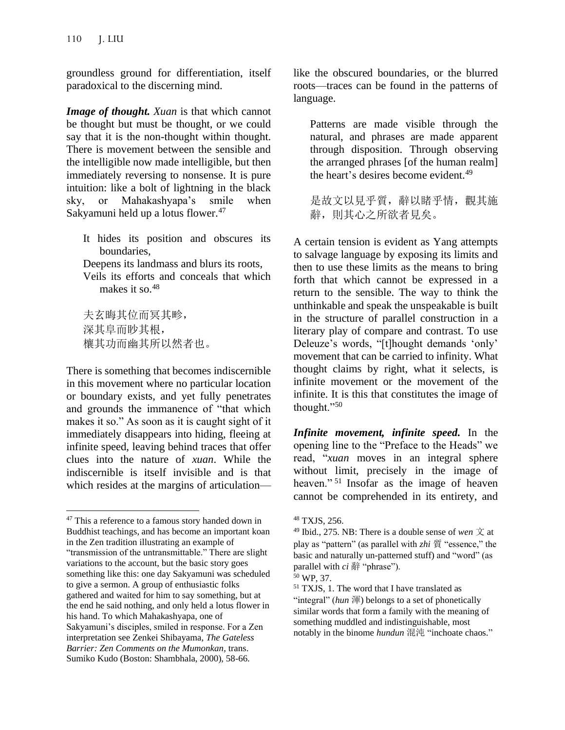groundless ground for differentiation, itself paradoxical to the discerning mind.

*Image of thought. Xuan* is that which cannot be thought but must be thought, or we could say that it is the non-thought within thought. There is movement between the sensible and the intelligible now made intelligible, but then immediately reversing to nonsense. It is pure intuition: like a bolt of lightning in the black sky, or Mahakashyapa's smile when Sakyamuni held up a lotus flower.<sup>47</sup>

It hides its position and obscures its boundaries,

Deepens its landmass and blurs its roots,

Veils its efforts and conceals that which makes it so.<sup>48</sup>

夫玄晦其位而冥其畛, 深其阜而眇其根, 欀其功而幽其所以然者也。

There is something that becomes indiscernible in this movement where no particular location or boundary exists, and yet fully penetrates and grounds the immanence of "that which makes it so." As soon as it is caught sight of it immediately disappears into hiding, fleeing at infinite speed, leaving behind traces that offer clues into the nature of *xuan*. While the indiscernible is itself invisible and is that which resides at the margins of articulationlike the obscured boundaries, or the blurred roots––traces can be found in the patterns of language.

Patterns are made visible through the natural, and phrases are made apparent through disposition. Through observing the arranged phrases [of the human realm] the heart's desires become evident. 49

是故文以見乎質,辭以睹乎情,觀其施 辭,則其心之所欲者見矣。

A certain tension is evident as Yang attempts to salvage language by exposing its limits and then to use these limits as the means to bring forth that which cannot be expressed in a return to the sensible. The way to think the unthinkable and speak the unspeakable is built in the structure of parallel construction in a literary play of compare and contrast. To use Deleuze's words, "[t]hought demands 'only' movement that can be carried to infinity. What thought claims by right, what it selects, is infinite movement or the movement of the infinite. It is this that constitutes the image of thought."<sup>50</sup>

*Infinite movement, infinite speed.* In the opening line to the "Preface to the Heads" we read, "*xuan* moves in an integral sphere without limit, precisely in the image of heaven."<sup>51</sup> Insofar as the image of heaven cannot be comprehended in its entirety, and

<sup>&</sup>lt;sup>47</sup> This a reference to a famous story handed down in Buddhist teachings, and has become an important koan in the Zen tradition illustrating an example of "transmission of the untransmittable." There are slight variations to the account, but the basic story goes something like this: one day Sakyamuni was scheduled to give a sermon. A group of enthusiastic folks gathered and waited for him to say something, but at the end he said nothing, and only held a lotus flower in his hand. To which Mahakashyapa, one of Sakyamuni's disciples, smiled in response. For a Zen interpretation see Zenkei Shibayama, *The Gateless Barrier: Zen Comments on the Mumonkan*, trans. Sumiko Kudo (Boston: Shambhala, 2000), 58-66.

<sup>48</sup> TXJS, 256.

<sup>&</sup>lt;sup>49</sup> Ibid., 275. NB: There is a double sense of *wen*  $\overrightarrow{\chi}$  at play as "pattern" (as parallel with *zhi* 質 "essence," the basic and naturally un-patterned stuff) and "word" (as parallel with *ci* 辭 "phrase").

<sup>50</sup> WP, 37.

<sup>51</sup> TXJS, 1. The word that I have translated as "integral" (*hun* 渾) belongs to a set of phonetically similar words that form a family with the meaning of something muddled and indistinguishable, most notably in the binome *hundun* 混沌 "inchoate chaos."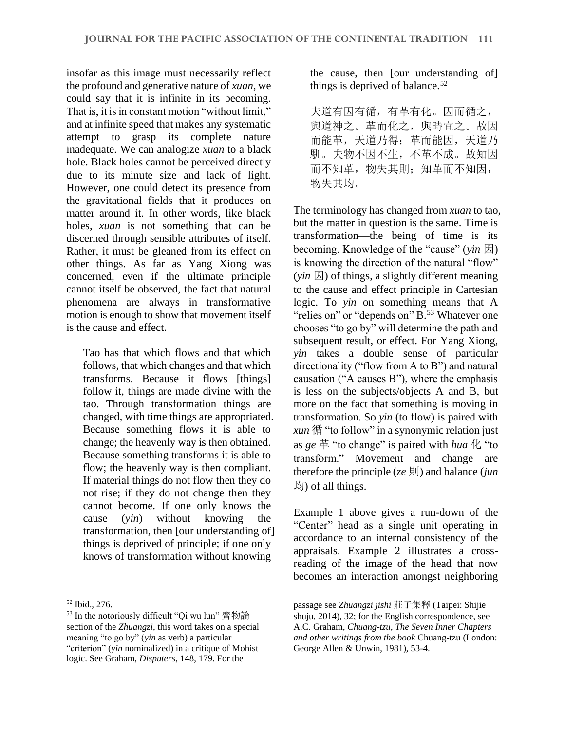insofar as this image must necessarily reflect the profound and generative nature of *xuan*, we could say that it is infinite in its becoming. That is, it is in constant motion "without limit," and at infinite speed that makes any systematic attempt to grasp its complete nature inadequate. We can analogize *xuan* to a black hole. Black holes cannot be perceived directly due to its minute size and lack of light. However, one could detect its presence from the gravitational fields that it produces on matter around it. In other words, like black holes, *xuan* is not something that can be discerned through sensible attributes of itself. Rather, it must be gleaned from its effect on other things. As far as Yang Xiong was concerned, even if the ultimate principle cannot itself be observed, the fact that natural phenomena are always in transformative motion is enough to show that movement itself is the cause and effect.

Tao has that which flows and that which follows, that which changes and that which transforms. Because it flows [things] follow it, things are made divine with the tao. Through transformation things are changed, with time things are appropriated. Because something flows it is able to change; the heavenly way is then obtained. Because something transforms it is able to flow; the heavenly way is then compliant. If material things do not flow then they do not rise; if they do not change then they cannot become. If one only knows the cause (*yin*) without knowing the transformation, then [our understanding of] things is deprived of principle; if one only knows of transformation without knowing

the cause, then [our understanding of] things is deprived of balance.<sup>52</sup>

夫道有因有循,有革有化。因而循之, 與道神之。革而化之,與時宜之。故因 而能革,天道乃得;革而能因,天道乃 馴。夫物不因不生,不革不成。故知因 而不知革,物失其則;知革而不知因, 物失其均。

The terminology has changed from *xuan* to tao, but the matter in question is the same. Time is transformation—the being of time is its becoming. Knowledge of the "cause" (*yin* 因) is knowing the direction of the natural "flow"  $(vin \mathbb{E})$  of things, a slightly different meaning to the cause and effect principle in Cartesian logic. To *yin* on something means that A "relies on" or "depends on" B.<sup>53</sup> Whatever one chooses "to go by" will determine the path and subsequent result, or effect. For Yang Xiong, *yin* takes a double sense of particular directionality ("flow from A to B") and natural causation ("A causes B"), where the emphasis is less on the subjects/objects A and B, but more on the fact that something is moving in transformation. So *yin* (to flow) is paired with *xun* 循 "to follow" in a synonymic relation just as *ge* 革 "to change" is paired with *hua* 化 "to transform." Movement and change are therefore the principle ( $ze \overline{\Pi}$ ) and balance (*jun*) 均) of all things.

Example 1 above gives a run-down of the "Center" head as a single unit operating in accordance to an internal consistency of the appraisals. Example 2 illustrates a crossreading of the image of the head that now becomes an interaction amongst neighboring

<sup>52</sup> Ibid., 276.

<sup>53</sup> In the notoriously difficult "Qi wu lun" 齊物論 section of the *Zhuangzi*, this word takes on a special meaning "to go by" (*yin* as verb) a particular "criterion" (*yin* nominalized) in a critique of Mohist logic. See Graham, *Disputers*, 148, 179. For the

passage see *Zhuangzi jishi* 莊子集釋 (Taipei: Shijie shuju, 2014), 32; for the English correspondence, see A.C. Graham, *Chuang-tzu, The Seven Inner Chapters and other writings from the book* Chuang-tzu (London: George Allen & Unwin, 1981), 53-4.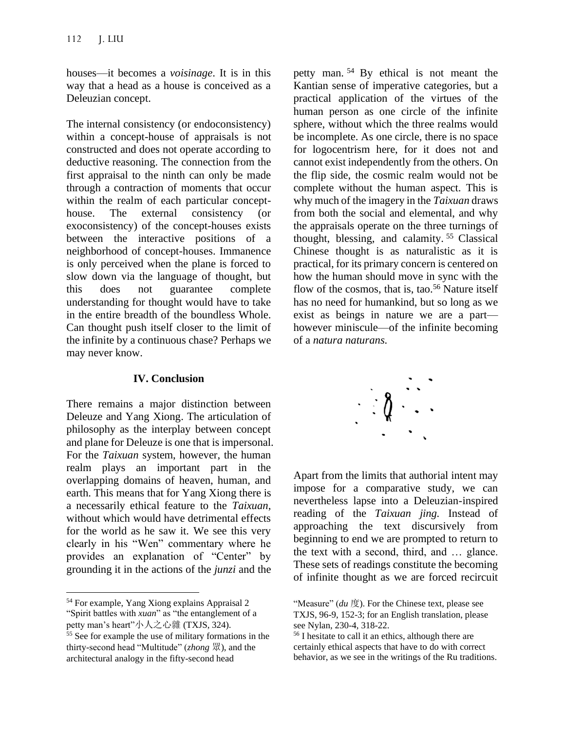houses––it becomes a *voisinage*. It is in this way that a head as a house is conceived as a Deleuzian concept.

The internal consistency (or endoconsistency) within a concept-house of appraisals is not constructed and does not operate according to deductive reasoning. The connection from the first appraisal to the ninth can only be made through a contraction of moments that occur within the realm of each particular concepthouse. The external consistency (or exoconsistency) of the concept-houses exists between the interactive positions of a neighborhood of concept-houses. Immanence is only perceived when the plane is forced to slow down via the language of thought, but this does not guarantee complete understanding for thought would have to take in the entire breadth of the boundless Whole. Can thought push itself closer to the limit of the infinite by a continuous chase? Perhaps we may never know.

#### **IV. Conclusion**

There remains a major distinction between Deleuze and Yang Xiong. The articulation of philosophy as the interplay between concept and plane for Deleuze is one that is impersonal. For the *Taixuan* system, however, the human realm plays an important part in the overlapping domains of heaven, human, and earth. This means that for Yang Xiong there is a necessarily ethical feature to the *Taixuan*, without which would have detrimental effects for the world as he saw it. We see this very clearly in his "Wen" commentary where he provides an explanation of "Center" by grounding it in the actions of the *junzi* and the

petty man. <sup>54</sup> By ethical is not meant the Kantian sense of imperative categories, but a practical application of the virtues of the human person as one circle of the infinite sphere, without which the three realms would be incomplete. As one circle, there is no space for logocentrism here, for it does not and cannot exist independently from the others. On the flip side, the cosmic realm would not be complete without the human aspect. This is why much of the imagery in the *Taixuan* draws from both the social and elemental, and why the appraisals operate on the three turnings of thought, blessing, and calamity.<sup>55</sup> Classical Chinese thought is as naturalistic as it is practical, for its primary concern is centered on how the human should move in sync with the flow of the cosmos, that is, tao.<sup>56</sup> Nature itself has no need for humankind, but so long as we exist as beings in nature we are a part however miniscule—of the infinite becoming of a *natura naturans.*



Apart from the limits that authorial intent may impose for a comparative study, we can nevertheless lapse into a Deleuzian-inspired reading of the *Taixuan jing.* Instead of approaching the text discursively from beginning to end we are prompted to return to the text with a second, third, and … glance. These sets of readings constitute the becoming of infinite thought as we are forced recircuit

<sup>54</sup> For example, Yang Xiong explains Appraisal 2 "Spirit battles with *xuan*" as "the entanglement of a petty man's heart"小人之心雜 (TXJS, 324).

<sup>55</sup> See for example the use of military formations in the thirty-second head "Multitude" (*zhong* 眾), and the architectural analogy in the fifty-second head

<sup>&</sup>quot;Measure" (*du* 度). For the Chinese text, please see TXJS, 96-9, 152-3; for an English translation, please see Nylan, 230-4, 318-22.

<sup>56</sup> I hesitate to call it an ethics, although there are certainly ethical aspects that have to do with correct behavior, as we see in the writings of the Ru traditions.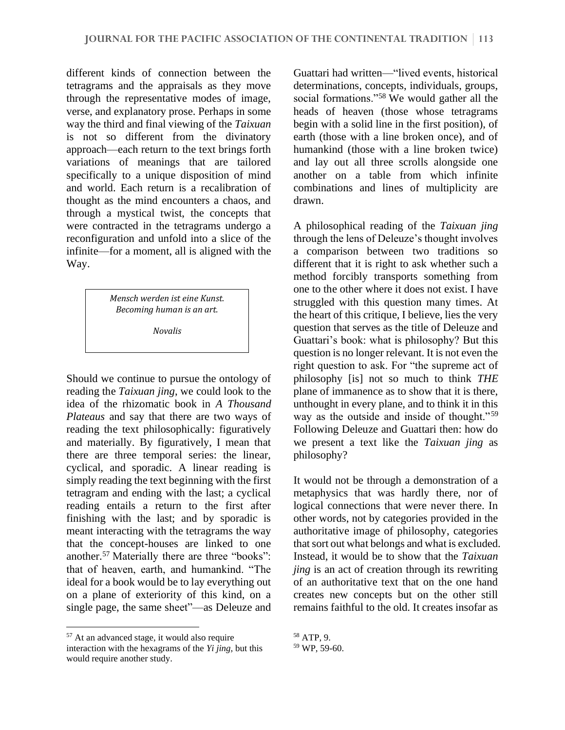different kinds of connection between the tetragrams and the appraisals as they move through the representative modes of image, verse, and explanatory prose. Perhaps in some way the third and final viewing of the *Taixuan* is not so different from the divinatory approach—each return to the text brings forth variations of meanings that are tailored specifically to a unique disposition of mind and world. Each return is a recalibration of thought as the mind encounters a chaos, and through a mystical twist, the concepts that were contracted in the tetragrams undergo a reconfiguration and unfold into a slice of the infinite—for a moment, all is aligned with the Way.

> *Mensch werden ist eine Kunst. Becoming human is an art.*

> > *Novalis*

Should we continue to pursue the ontology of reading the *Taixuan jing*, we could look to the idea of the rhizomatic book in *A Thousand Plateaus* and say that there are two ways of reading the text philosophically: figuratively and materially. By figuratively, I mean that there are three temporal series: the linear, cyclical, and sporadic. A linear reading is simply reading the text beginning with the first tetragram and ending with the last; a cyclical reading entails a return to the first after finishing with the last; and by sporadic is meant interacting with the tetragrams the way that the concept-houses are linked to one another.<sup>57</sup> Materially there are three "books": that of heaven, earth, and humankind. "The ideal for a book would be to lay everything out on a plane of exteriority of this kind, on a single page, the same sheet"––as Deleuze and

Guattari had written––"lived events, historical determinations, concepts, individuals, groups, social formations."<sup>58</sup> We would gather all the heads of heaven (those whose tetragrams begin with a solid line in the first position), of earth (those with a line broken once), and of humankind (those with a line broken twice) and lay out all three scrolls alongside one another on a table from which infinite combinations and lines of multiplicity are drawn.

A philosophical reading of the *Taixuan jing* through the lens of Deleuze's thought involves a comparison between two traditions so different that it is right to ask whether such a method forcibly transports something from one to the other where it does not exist. I have struggled with this question many times. At the heart of this critique, I believe, lies the very question that serves as the title of Deleuze and Guattari's book: what is philosophy? But this question is no longer relevant. It is not even the right question to ask. For "the supreme act of philosophy [is] not so much to think *THE* plane of immanence as to show that it is there, unthought in every plane, and to think it in this way as the outside and inside of thought."<sup>59</sup> Following Deleuze and Guattari then: how do we present a text like the *Taixuan jing* as philosophy?

It would not be through a demonstration of a metaphysics that was hardly there, nor of logical connections that were never there. In other words, not by categories provided in the authoritative image of philosophy, categories that sort out what belongs and what is excluded. Instead, it would be to show that the *Taixuan jing* is an act of creation through its rewriting of an authoritative text that on the one hand creates new concepts but on the other still remains faithful to the old. It creates insofar as

<sup>57</sup> At an advanced stage, it would also require interaction with the hexagrams of the *Yi jing,* but this would require another study.

<sup>58</sup> ATP, 9.

<sup>59</sup> WP, 59-60.